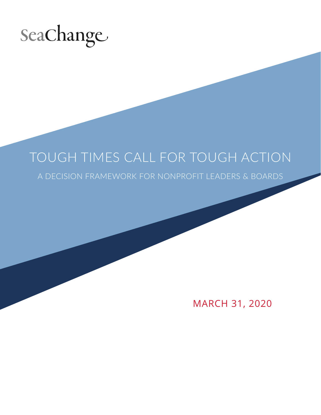

# TOUGH TIMES CALL FOR TOUGH ACTION

A DECISION FRAMEWORK FOR NONPROFIT LEADERS & BOARDS

MARCH 31, 2020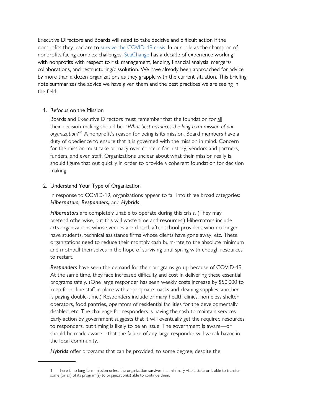Executive Directors and Boards will need to take decisive and difficult action if the nonprofits they lead are to [survive the COVID-19 crisis](https://www.cnn.com/2020/03/20/opinions/coronavirus-extinction-level-event-charities/index.html). In our role as the champion of nonprofits facing complex challenges, [SeaChange](https://seachangecap.org/) has a decade of experience working with nonprofits with respect to risk management, lending, financial analysis, mergers/ collaborations, and restructuring/dissolution. We have already been approached for advice by more than a dozen organizations as they grapple with the current situation. This briefing note summarizes the advice we have given them and the best practices we are seeing in the field.

### 1. Refocus on the Mission

Boards and Executive Directors must remember that the foundation for all their decision-making should be: "*What best advances the long-term mission of our*  organization?"<sup>1</sup> A nonprofit's reason for being is its mission. Board members have a duty of obedience to ensure that it is governed with the mission in mind. Concern for the mission must take primacy over concern for history, vendors and partners, funders, and even staff. Organizations unclear about what their mission really is should figure that out quickly in order to provide a coherent foundation for decision making.

#### 2. Understand Your Type of Organization

In response to COVID-19, organizations appear to fall into three broad categories: *Hibernators, Responders,* and *Hybrids*.

*Hibernators* are completely unable to operate during this crisis. (They may pretend otherwise, but this will waste time and resources.) Hibernators include arts organizations whose venues are closed, after-school providers who no longer have students, technical assistance firms whose clients have gone away, etc. These organizations need to reduce their monthly cash burn-rate to the absolute minimum and mothball themselves in the hope of surviving until spring with enough resources to restart.

*Responders* have seen the demand for their programs go up because of COVID-19. At the same time, they face increased difficulty and cost in delivering these essential programs safely. (One large responder has seen weekly costs increase by \$50,000 to keep front-line staff in place with appropriate masks and cleaning supplies; another is paying double-time.) Responders include primary health clinics, homeless shelter operators, food pantries, operators of residential facilities for the developmentally disabled, etc. The challenge for responders is having the cash to maintain services. Early action by government suggests that it will eventually get the required resources to responders, but timing is likely to be an issue. The government is aware—or should be made aware—that the failure of any large responder will wreak havoc in the local community.

*Hybrids* offer programs that can be provided, to some degree, despite the

<sup>1</sup> There is no long-term mission unless the organization survives in a minimally viable state or is able to transfer some (or all) of its program(s) to organization(s) able to continue them.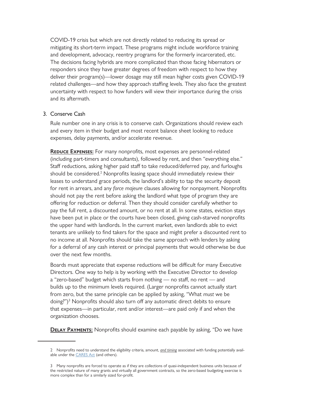COVID-19 crisis but which are not directly related to reducing its spread or mitigating its short-term impact. These programs might include workforce training and development, advocacy, reentry programs for the formerly incarcerated, etc. The decisions facing hybrids are more complicated than those facing hibernators or responders since they have greater degrees of freedom with respect to how they deliver their program(s)—lower dosage may still mean higher costs given COVID-19 related challenges—and how they approach staffing levels. They also face the greatest uncertainty with respect to how funders will view their importance during the crisis and its aftermath.

### 3. Conserve Cash

Rule number one in any crisis is to conserve cash. Organizations should review each and every item in their budget and most recent balance sheet looking to reduce expenses, delay payments, and/or accelerate revenue.

**REDUCE EXPENSES:** For many nonprofits, most expenses are personnel-related (including part-timers and consultants), followed by rent, and then "everything else." Staff reductions, asking higher paid staff to take reduced/deferred pay, and furloughs should be considered.<sup>2</sup> Nonprofits leasing space should immediately review their leases to understand grace periods, the landlord's ability to tap the security deposit for rent in arrears, and any *force majeure* clauses allowing for nonpayment. Nonprofits should not pay the rent before asking the landlord what type of program they are offering for reduction or deferral. Then they should consider carefully whether to pay the full rent, a discounted amount, or no rent at all. In some states, eviction stays have been put in place or the courts have been closed, giving cash-starved nonprofits the upper hand with landlords. In the current market, even landlords able to evict tenants are unlikely to find takers for the space and might prefer a discounted rent to no income at all. Nonprofits should take the same approach with lenders by asking for a deferral of any cash interest or principal payments that would otherwise be due over the next few months.

Boards must appreciate that expense reductions will be difficult for many Executive Directors. One way to help is by working with the Executive Director to develop a "zero-based" budget which starts from nothing — no staff, no rent — and builds up to the minimum levels required. (Larger nonprofits cannot actually start from zero, but the same principle can be applied by asking, "What *must* we be doing?")<sup>3</sup> Nonprofits should also turn off any automatic direct debits to ensure that expenses—in particular, rent and/or interest—are paid only if and when the organization chooses.

**DELAY PAYMENTS:** Nonprofits should examine each payable by asking, "Do we have

<sup>2</sup> Nonprofits need to understand the eligibility criteria, amount, *and timing* associated with funding potentially available under the **CARES** Act (and others).

<sup>3</sup> Many nonprofits are forced to operate as if they are collections of quasi-independent business units because of the restricted nature of many grants and virtually all government contracts, so the zero-based budgeting exercise is more complex than for a similarly sized for-profit.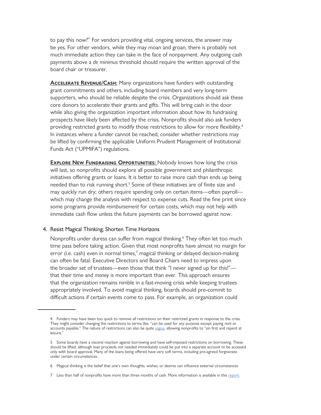to pay this now?" For vendors providing vital, ongoing services, the answer may be yes. For other vendors, while they may moan and groan, there is probably not much immediate action they can take in the face of nonpayment. Any outgoing cash payments above a *de minimus* threshold should require the written approval of the board chair or treasurer.

**ACCELERATE REVENUE/CASH:** Many organizations have funders with outstanding grant commitments and others, including board members and very long-term supporters, who should be reliable despite the crisis. Organizations should ask these core donors to accelerate their grants and gifts. This will bring cash in the door while also giving the organization important information about how its fundraising prospects have likely been affected by the crisis. Nonprofits should also ask funders providing restricted grants to modify those restrictions to allow for more flexibility.<sup>4</sup> In instances where a funder cannot be reached, consider whether restrictions may be lifted by confirming the applicable Uniform Prudent Management of Institutional Funds Act ("UPMIFA") regulations.

**EXPLORE NEW FUNDRAISING OPPORTUNITIES:** Nobody knows how long the crisis will last, so nonprofits should explore all possible government and philanthropic initiatives offering grants or loans. It is better to raise more cash than ends up being needed than to risk running short.<sup>5</sup> Some of these initiatives are of finite size and may quickly run dry; others require spending only on certain items—often payroll which may change the analysis with respect to expense cuts. Read the fine print since some programs provide *reimbursement* for certain costs, which may not help with immediate cash flow unless the future payments can be borrowed against now.

### 4. Resist Magical Thinking; Shorten Time Horizons

Nonprofits under duress can suffer from magical thinking.<sup>6</sup> They often let too much time pass before taking action. Given that most nonprofits have almost no margin for error (i.e. cash) even in normal times, $^7$  magical thinking or delayed decision-making can often be fatal. Executive Directors and Board Chairs need to impress upon the broader set of trustees—even those that think "I never signed up for this!" that their time and *money* is more important than ever. This approach ensures that the organization remains nimble in a fast-moving crisis while keeping trustees appropriately involved. To avoid magical thinking, boards should pre-commit to difficult actions if certain events come to pass. For example, an organization could

<sup>4</sup> Funders may have been too quick to remove *all* restrictions on their restricted grants in response to the crisis. They might consider changing the restrictions to terms like, "can be used for any purpose except paying rent or accounts payable." The nature of restrictions can also be quite [vague,](https://nonprofitquarterly.org/dipper-nonprofits-sin-shadow-loans/) allowing nonprofits to "sin first and repent at leisure."

<sup>5</sup> Some boards have a visceral reaction against borrowing and have self-imposed restrictions on borrowing. These should be lifted, although loan proceeds not needed immediately could be put into a separate account to be accessed only with board approval. Many of the loans being offered have very soft terms, including pre-agreed forgiveness under certain circumstances.

<sup>6</sup> Magical thinking is the belief that one's own thoughts, wishes, or desires can influence external circumstances.

<sup>7</sup> Less than half of nonprofits have mo[re](http://gd7xi2tioeh408c7o34706rc-wpengine.netdna-ssl.com/wp-content/uploads/2020/01/SeaChange-Oliver-Wyman-Risk-Report.pdf) than three months of cash. More information is available in this report.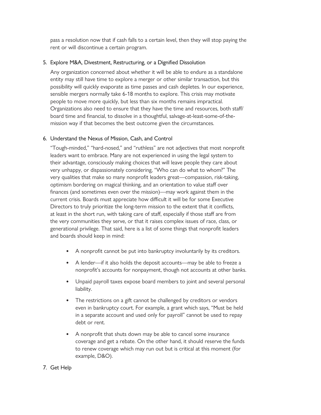pass a resolution now that if cash falls to a certain level, then they will stop paying the rent or will discontinue a certain program.

## 5. Explore M&A, Divestment, Restructuring, or a Dignified Dissolution

Any organization concerned about whether it will be able to endure as a standalone entity may still have time to explore a merger or other similar transaction, but this possibility will quickly evaporate as time passes and cash depletes. In our experience, sensible mergers normally take 6-18 months to explore. This crisis may motivate people to move more quickly, but less than six months remains impractical. Organizations also need to ensure that they have the time and resources, both staff/ board time and financial, to dissolve in a thoughtful, salvage-at-least-some-of-themission way if that becomes the best outcome given the circumstances.

## 6. Understand the Nexus of Mission, Cash, and Control

"Tough-minded," "hard-nosed," and "ruthless" are not adjectives that most nonprofit leaders want to embrace. Many are not experienced in using the legal system to their advantage, consciously making choices that will leave people they care about very unhappy, or dispassionately considering, "Who can do what to whom?" The very qualities that make so many nonprofit leaders great—compassion, risk-taking, optimism bordering on magical thinking, and an orientation to value staff over finances (and sometimes even over the mission)—may work against them in the current crisis. Boards must appreciate how difficult it will be for some Executive Directors to truly prioritize the long-term mission to the extent that it conflicts, at least in the short run, with taking care of staff, especially if those staff are from the very communities they serve, or that it raises complex issues of race, class, or generational privilege. That said, here is a list of some things that nonprofit leaders and boards should keep in mind:

- A nonprofit cannot be put into bankruptcy involuntarily by its creditors.
- A lender—if it also holds the deposit accounts—may be able to freeze a nonprofit's accounts for nonpayment, though not accounts at other banks.
- Unpaid payroll taxes expose board members to joint and several personal liability.
- The restrictions on a gift cannot be challenged by creditors or vendors even in bankruptcy court. For example, a grant which says, "Must be held in a separate account and used only for payroll" cannot be used to repay debt or rent.
- A nonprofit that shuts down may be able to cancel some insurance coverage and get a rebate. On the other hand, it should reserve the funds to renew coverage which may run out but is critical at this moment (for example, D&O).

### 7. Get Help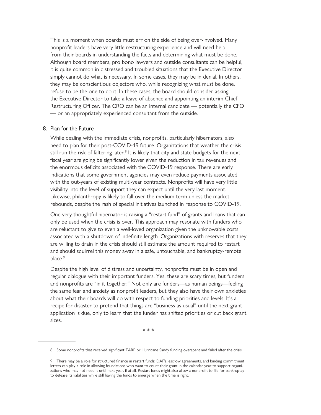This is a moment when boards must err on the side of being over-involved. Many nonprofit leaders have very little restructuring experience and will need help from their boards in understanding the facts and determining what must be done. Although board members, pro bono lawyers and outside consultants can be helpful, it is quite common in distressed and troubled situations that the Executive Director simply cannot do what is necessary. In some cases, they may be in denial. In others, they may be conscientious objectors who, while recognizing what must be done, refuse to be the one to do it. In these cases, the board should consider asking the Executive Director to take a leave of absence and appointing an interim Chief Restructuring Officer. The CRO can be an internal candidate — potentially the CFO — or an appropriately experienced consultant from the outside.

#### 8. Plan for the Future

While dealing with the immediate crisis, nonprofits, particularly hibernators, also need to plan for their post-COVID-19 future. Organizations that weather the crisis still run the risk of faltering later.<sup>8</sup> It is likely that city and state budgets for the next fiscal year are going be significantly lower given the reduction in tax revenues and the enormous deficits associated with the COVID-19 response. There are early indications that some government agencies may even reduce payments associated with the out-years of existing multi-year contracts. Nonprofits will have very little visibility into the level of support they can expect until the very last moment. Likewise, philanthropy is likely to fall over the medium term unless the market rebounds, despite the rash of special initiatives launched in response to COVID-19.

One very thoughtful hibernator is raising a "restart fund" of grants and loans that can only be used when the crisis is over. This approach may resonate with funders who are reluctant to give to even a well-loved organization given the unknowable costs associated with a shutdown of indefinite length. Organizations with reserves that they are willing to drain in the crisis should still estimate the amount required to restart and should squirrel this money away in a safe, untouchable, and bankruptcy-remote place.<sup>9</sup>

Despite the high level of distress and uncertainty, nonprofits must be in open and regular dialogue with their important funders. Yes, these are scary times, but funders and nonprofits are "in it together." Not only are funders—as human beings—feeling the same fear and anxiety as nonprofit leaders, but they also have their own anxieties about what their boards will do with respect to funding priorities and levels. It's a recipe for disaster to pretend that things are "business as usual" until the next grant application is due, only to learn that the funder has shifted priorities or cut back grant sizes.

\* \* \*

<sup>8</sup> Some nonprofits that received significant TARP or Hurricane Sandy funding overspent and failed after the crisis.

<sup>9</sup> There may be a role for structured finance in restart funds: DAF's, escrow agreements, and binding commitment letters can play a role in allowing foundations who want to count their grant in the calendar year to support organizations who may not need it until next year, if at all. Restart funds might also allow a nonprofit to file for bankruptcy to defease its liabilities while still having the funds to emerge when the time is right.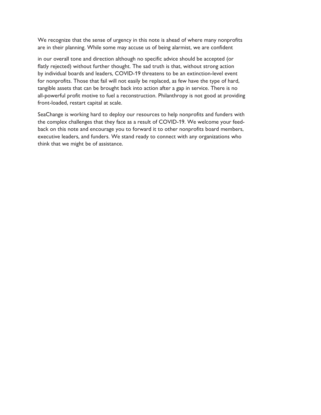We recognize that the sense of urgency in this note is ahead of where many nonprofits are in their planning. While some may accuse us of being alarmist, we are confident

in our overall tone and direction although no specific advice should be accepted (or flatly rejected) without further thought. The sad truth is that, without strong action by individual boards and leaders, COVID-19 threatens to be an extinction-level event for nonprofits. Those that fail will not easily be replaced, as few have the type of hard, tangible assets that can be brought back into action after a gap in service. There is no all-powerful profit motive to fuel a reconstruction. Philanthropy is not good at providing front-loaded, restart capital at scale.

SeaChange is working hard to deploy our resources to help nonprofits and funders with the complex challenges that they face as a result of COVID-19. We welcome your feedback on this note and encourage you to forward it to other nonprofits board members, executive leaders, and funders. We stand ready to connect with any organizations who think that we might be of assistance.